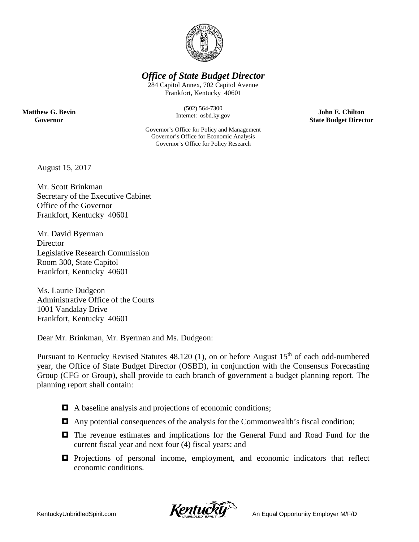

### *Office of State Budget Director*

284 Capitol Annex, 702 Capitol Avenue Frankfort, Kentucky 40601

> (502) 564-7300 Internet: osbd.ky.gov

**John E. Chilton State Budget Director**

**Matthew G. Bevin Governor**

> Governor's Office for Policy and Management Governor's Office for Economic Analysis Governor's Office for Policy Research

August 15, 2017

Mr. Scott Brinkman Secretary of the Executive Cabinet Office of the Governor Frankfort, Kentucky 40601

Mr. David Byerman **Director** Legislative Research Commission Room 300, State Capitol Frankfort, Kentucky 40601

Ms. Laurie Dudgeon Administrative Office of the Courts 1001 Vandalay Drive Frankfort, Kentucky 40601

Dear Mr. Brinkman, Mr. Byerman and Ms. Dudgeon:

Pursuant to Kentucky Revised Statutes  $48.120$  (1), on or before August  $15<sup>th</sup>$  of each odd-numbered year, the Office of State Budget Director (OSBD), in conjunction with the Consensus Forecasting Group (CFG or Group), shall provide to each branch of government a budget planning report. The planning report shall contain:

- A baseline analysis and projections of economic conditions;
- Any potential consequences of the analysis for the Commonwealth's fiscal condition;
- The revenue estimates and implications for the General Fund and Road Fund for the current fiscal year and next four (4) fiscal years; and
- $\Box$  Projections of personal income, employment, and economic indicators that reflect economic conditions.

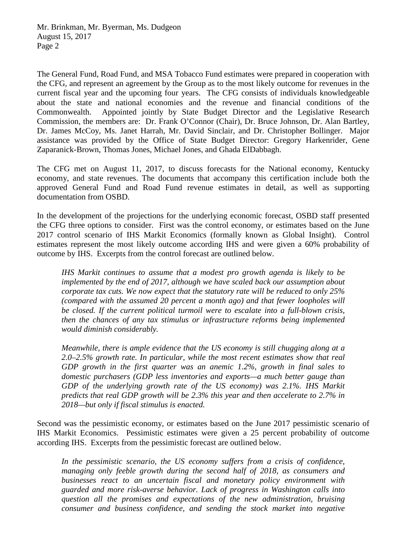The General Fund, Road Fund, and MSA Tobacco Fund estimates were prepared in cooperation with the CFG, and represent an agreement by the Group as to the most likely outcome for revenues in the current fiscal year and the upcoming four years. The CFG consists of individuals knowledgeable about the state and national economies and the revenue and financial conditions of the Commonwealth. Appointed jointly by State Budget Director and the Legislative Research Commission, the members are: Dr. Frank O'Connor (Chair), Dr. Bruce Johnson, Dr. Alan Bartley, Dr. James McCoy, Ms. Janet Harrah, Mr. David Sinclair, and Dr. Christopher Bollinger. Major assistance was provided by the Office of State Budget Director: Gregory Harkenrider, Gene Zaparanick-Brown, Thomas Jones, Michael Jones, and Ghada ElDabbagh.

The CFG met on August 11, 2017, to discuss forecasts for the National economy, Kentucky economy, and state revenues. The documents that accompany this certification include both the approved General Fund and Road Fund revenue estimates in detail, as well as supporting documentation from OSBD.

In the development of the projections for the underlying economic forecast, OSBD staff presented the CFG three options to consider. First was the control economy, or estimates based on the June 2017 control scenario of IHS Markit Economics (formally known as Global Insight). Control estimates represent the most likely outcome according IHS and were given a 60% probability of outcome by IHS. Excerpts from the control forecast are outlined below.

*IHS Markit continues to assume that a modest pro growth agenda is likely to be implemented by the end of 2017, although we have scaled back our assumption about corporate tax cuts. We now expect that the statutory rate will be reduced to only 25% (compared with the assumed 20 percent a month ago) and that fewer loopholes will be closed. If the current political turmoil were to escalate into a full-blown crisis, then the chances of any tax stimulus or infrastructure reforms being implemented would diminish considerably.*

*Meanwhile, there is ample evidence that the US economy is still chugging along at a 2.0–2.5% growth rate. In particular, while the most recent estimates show that real GDP growth in the first quarter was an anemic 1.2%, growth in final sales to domestic purchasers (GDP less inventories and exports—a much better gauge than GDP of the underlying growth rate of the US economy) was 2.1%. IHS Markit predicts that real GDP growth will be 2.3% this year and then accelerate to 2.7% in 2018—but only if fiscal stimulus is enacted.*

Second was the pessimistic economy, or estimates based on the June 2017 pessimistic scenario of IHS Markit Economics. Pessimistic estimates were given a 25 percent probability of outcome according IHS. Excerpts from the pessimistic forecast are outlined below.

*In the pessimistic scenario, the US economy suffers from a crisis of confidence, managing only feeble growth during the second half of 2018, as consumers and businesses react to an uncertain fiscal and monetary policy environment with guarded and more risk-averse behavior. Lack of progress in Washington calls into question all the promises and expectations of the new administration, bruising consumer and business confidence, and sending the stock market into negative*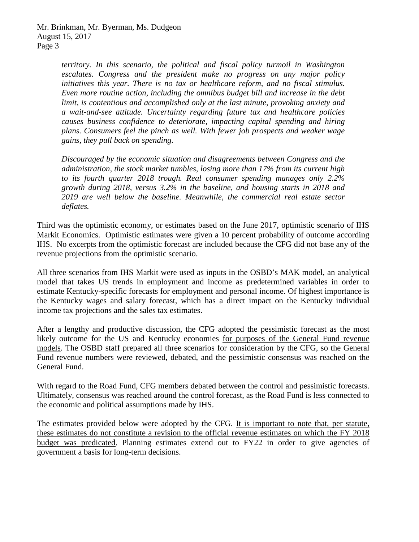*territory. In this scenario, the political and fiscal policy turmoil in Washington escalates. Congress and the president make no progress on any major policy initiatives this year. There is no tax or healthcare reform, and no fiscal stimulus. Even more routine action, including the omnibus budget bill and increase in the debt limit, is contentious and accomplished only at the last minute, provoking anxiety and a wait-and-see attitude. Uncertainty regarding future tax and healthcare policies causes business confidence to deteriorate, impacting capital spending and hiring plans. Consumers feel the pinch as well. With fewer job prospects and weaker wage gains, they pull back on spending.*

*Discouraged by the economic situation and disagreements between Congress and the administration, the stock market tumbles, losing more than 17% from its current high to its fourth quarter 2018 trough. Real consumer spending manages only 2.2% growth during 2018, versus 3.2% in the baseline, and housing starts in 2018 and 2019 are well below the baseline. Meanwhile, the commercial real estate sector deflates.*

Third was the optimistic economy, or estimates based on the June 2017, optimistic scenario of IHS Markit Economics. Optimistic estimates were given a 10 percent probability of outcome according IHS. No excerpts from the optimistic forecast are included because the CFG did not base any of the revenue projections from the optimistic scenario.

All three scenarios from IHS Markit were used as inputs in the OSBD's MAK model, an analytical model that takes US trends in employment and income as predetermined variables in order to estimate Kentucky-specific forecasts for employment and personal income. Of highest importance is the Kentucky wages and salary forecast, which has a direct impact on the Kentucky individual income tax projections and the sales tax estimates.

After a lengthy and productive discussion, the CFG adopted the pessimistic forecast as the most likely outcome for the US and Kentucky economies for purposes of the General Fund revenue models. The OSBD staff prepared all three scenarios for consideration by the CFG, so the General Fund revenue numbers were reviewed, debated, and the pessimistic consensus was reached on the General Fund.

With regard to the Road Fund, CFG members debated between the control and pessimistic forecasts. Ultimately, consensus was reached around the control forecast, as the Road Fund is less connected to the economic and political assumptions made by IHS.

The estimates provided below were adopted by the CFG. It is important to note that, per statute, these estimates do not constitute a revision to the official revenue estimates on which the FY 2018 budget was predicated. Planning estimates extend out to FY22 in order to give agencies of government a basis for long-term decisions.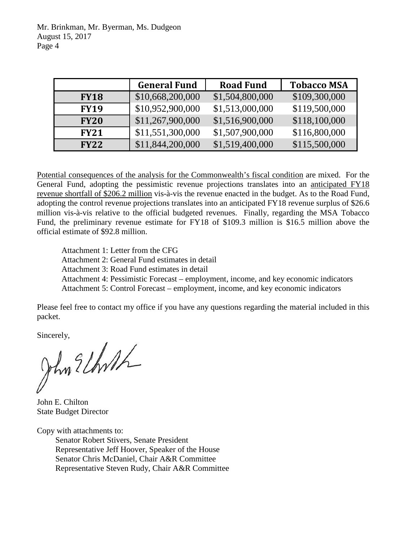Mr. Brinkman, Mr. Byerman, Ms. Dudgeon August 15, 2017 Page 4

|             | <b>General Fund</b> | <b>Road Fund</b> | <b>Tobacco MSA</b> |
|-------------|---------------------|------------------|--------------------|
| <b>FY18</b> | \$10,668,200,000    | \$1,504,800,000  | \$109,300,000      |
| <b>FY19</b> | \$10,952,900,000    | \$1,513,000,000  | \$119,500,000      |
| <b>FY20</b> | \$11,267,900,000    | \$1,516,900,000  | \$118,100,000      |
| <b>FY21</b> | \$11,551,300,000    | \$1,507,900,000  | \$116,800,000      |
| <b>FY22</b> | \$11,844,200,000    | \$1,519,400,000  | \$115,500,000      |

Potential consequences of the analysis for the Commonwealth's fiscal condition are mixed. For the General Fund, adopting the pessimistic revenue projections translates into an anticipated FY18 revenue shortfall of \$206.2 million vis-à-vis the revenue enacted in the budget. As to the Road Fund, adopting the control revenue projections translates into an anticipated FY18 revenue surplus of \$26.6 million vis-à-vis relative to the official budgeted revenues. Finally, regarding the MSA Tobacco Fund, the preliminary revenue estimate for FY18 of \$109.3 million is \$16.5 million above the official estimate of \$92.8 million.

Attachment 1: Letter from the CFG Attachment 2: General Fund estimates in detail Attachment 3: Road Fund estimates in detail

Attachment 4: Pessimistic Forecast – employment, income, and key economic indicators

Attachment 5: Control Forecast – employment, income, and key economic indicators

Please feel free to contact my office if you have any questions regarding the material included in this packet.

Sincerely,

John E. Chilton State Budget Director

Copy with attachments to:

Senator Robert Stivers, Senate President Representative Jeff Hoover, Speaker of the House Senator Chris McDaniel, Chair A&R Committee Representative Steven Rudy, Chair A&R Committee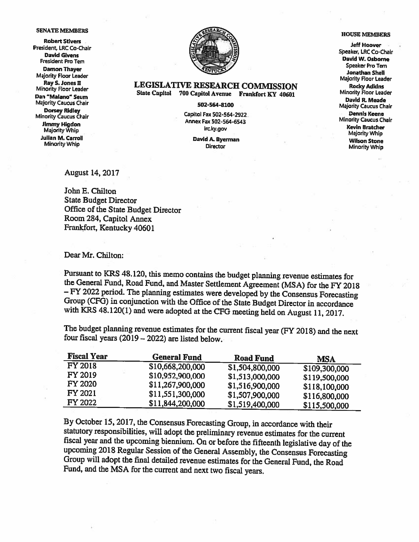### **SENATE MEMBERS**

**Robert Stivers** President, LRC Co-Chair **David Givens President Pro Tem Damon Thayer Majority Floor Leader** Ray S. Jones II Minority Floor Leader Dan "Malano" Seum **Majority Caucus Chair Dorsey Ridley** Minority Caucus Chair Jimmy Higdon Majority Whip **Julian M. Carroll Minority Whip** 



### **LEGISLATIVE RESEARCH COMMISSION** State Capitol 700 Capitol Avenue Frankfort KY 40601

### 502-564-8100

Capitol Fax 502-564-2922 Annex Fax 502-564-6543 Irc.ky.gov

> David A. Byerman **Director**

### **HOUSE MEMBERS**

**Jeff Hoover** Speaker, LRC Co-Chair David W. Osborne Speaker Pro Tem **Jonathan Shell Majority Floor Leader Rocky Adkins Minority Floor Leader** David R. Meade **Majority Caucus Chair Dennis Keene Minority Caucus Chair Kevin Bratcher** Majority Whip **Wilson Stone Minority Whip** 

**August 14, 2017** 

John E. Chilton **State Budget Director** Office of the State Budget Director Room 284, Capitol Annex Frankfort, Kentucky 40601

Dear Mr. Chilton:

Pursuant to KRS 48.120, this memo contains the budget planning revenue estimates for the General Fund, Road Fund, and Master Settlement Agreement (MSA) for the FY 2018 - FY 2022 period. The planning estimates were developed by the Consensus Forecasting Group (CFG) in conjunction with the Office of the State Budget Director in accordance with KRS 48.120(1) and were adopted at the CFG meeting held on August 11, 2017.

The budget planning revenue estimates for the current fiscal year (FY 2018) and the next four fiscal years (2019 - 2022) are listed below.

| <b>Fiscal Year</b> | <b>General Fund</b> | <b>Road Fund</b> | <b>MSA</b>    |
|--------------------|---------------------|------------------|---------------|
| <b>FY 2018</b>     | \$10,668,200,000    | \$1,504,800,000  | \$109,300,000 |
| FY 2019            | \$10,952,900,000    | \$1,513,000,000  | \$119,500,000 |
| <b>FY 2020</b>     | \$11,267,900,000    | \$1,516,900,000  | \$118,100,000 |
| FY 2021            | \$11,551,300,000    | \$1,507,900,000  | \$116,800,000 |
| <b>FY 2022</b>     | \$11,844,200,000    | \$1,519,400,000  | \$115,500,000 |

By October 15, 2017, the Consensus Forecasting Group, in accordance with their statutory responsibilities, will adopt the preliminary revenue estimates for the current fiscal year and the upcoming biennium. On or before the fifteenth legislative day of the upcoming 2018 Regular Session of the General Assembly, the Consensus Forecasting Group will adopt the final detailed revenue estimates for the General Fund, the Road Fund, and the MSA for the current and next two fiscal years.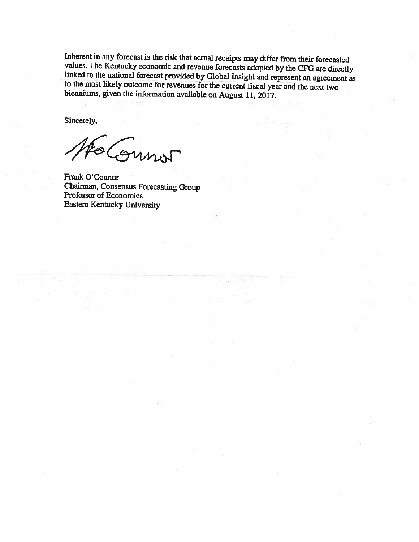Inherent in any forecast is the risk that actual receipts may differ from their forecasted values. The Kentucky economic and revenue forecasts adopted by the CFG are directly linked to the national forecast provided by Global Insight and represent an agreement as to the most likely outcome for revenues for the current fiscal year and the next two bienniums, given the information available on August 11, 2017.

Sincerely,

Sunot

Frank O'Connor Chairman, Consensus Forecasting Group Professor of Economics **Eastern Kentucky University**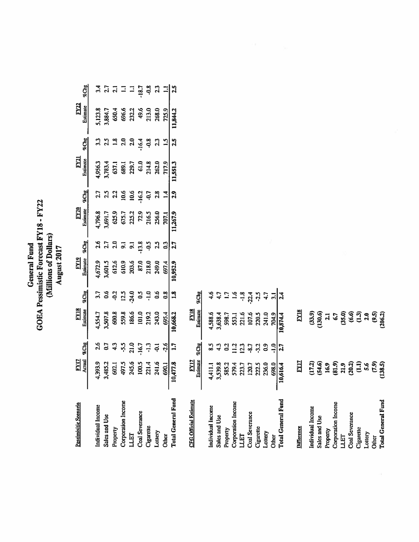# General Fund<br>GOEA Pessimistic Forecast FY18 - FY22<br>(Millions of Dollars)<br>August 2017

| Pessimisitic Scenario                           | $\frac{17}{200}$                           |                                      | 팈                                         |                  | Elli<br>Esime                            |                | EV2N<br>Essimar                                        |                              | $\mathbb{E}^{21}$                                                              |                 | Eximate<br>Estimate                                      |                    |
|-------------------------------------------------|--------------------------------------------|--------------------------------------|-------------------------------------------|------------------|------------------------------------------|----------------|--------------------------------------------------------|------------------------------|--------------------------------------------------------------------------------|-----------------|----------------------------------------------------------|--------------------|
|                                                 |                                            | %Chg                                 | Esumate                                   | <b>ZChg</b>      |                                          | <b>TeChg</b>   |                                                        | $R$ Chg                      | Estimate                                                                       | %Chg            |                                                          | $\pi$ Chg          |
| Individual Income                               | 1,393.9                                    | 2.6                                  | 1,554.7                                   | 3.7              |                                          | 2.6            |                                                        | 2.7                          |                                                                                | 33              | 1,123.8                                                  |                    |
| Sales and Use                                   | 1,485.2                                    | 50                                   | 1,507.8                                   | ိ                | 4,672.9<br>3,601.5<br>612.6              | $\mathbf{z}$   | 1,796.8<br>1,691.7<br>625.7<br>625.7<br>216.5<br>216.5 | 2.5                          | 1956.3<br>1,783.4<br>637.1<br>639.7<br>61.0<br>61.2<br>202.0<br>202.0<br>202.0 | 25              | 3,884.7                                                  | ្ត្រ               |
|                                                 | 602.1                                      | $\frac{1}{4}$                        | 600.8                                     |                  |                                          | $\frac{2}{9}$  |                                                        | 2.2                          |                                                                                | $\mathbf{r}$    |                                                          |                    |
| Property<br>Corporation Income<br>LLET          |                                            | 55-                                  |                                           |                  |                                          |                |                                                        |                              |                                                                                | <u>ລ</u> ິ      |                                                          |                    |
|                                                 | 497.5<br>245.6<br>200.5<br>221.16<br>300.1 | $21.0$<br>$-1.5$<br>$-1.3$<br>$-3.6$ | 559.8<br>186.6<br>101.0<br>213.0<br>243.0 | $3240$<br>$7240$ | 610.9<br>203.6<br>87.0<br>218.0<br>249.0 | 5.13.4         |                                                        | 10.6<br>10.6<br>10.2<br>10.7 |                                                                                | 20              | <b>6504</b><br>696.3<br>696.3<br>4<br>5,9<br>5,9<br>75,9 |                    |
| Coal Severance<br>Cigarette<br>Lottery<br>Other |                                            |                                      |                                           |                  |                                          |                |                                                        |                              |                                                                                | $-16.4$         |                                                          |                    |
|                                                 |                                            |                                      |                                           | $-1.0$<br>0.6    |                                          |                |                                                        |                              |                                                                                |                 |                                                          | $\frac{18.7}{0.8}$ |
|                                                 |                                            |                                      |                                           |                  |                                          | 25             |                                                        | 2.8                          |                                                                                | $\overline{23}$ |                                                          | ္မျ                |
|                                                 |                                            |                                      |                                           | 0.8              | 697.4                                    | $\overline{0}$ | $\overline{201}$                                       | $\frac{14}{1}$               |                                                                                | $\frac{15}{1}$  |                                                          |                    |
| <b>Total General Fund</b>                       | 10,477.8                                   | 1.7                                  | 10,668.2                                  | 1.8              | 0,952.9                                  | 7.7            | 11,267.9                                               | 2.9                          | 1,551.3                                                                        | 2.5             | 1,844.2                                                  |                    |
|                                                 |                                            |                                      |                                           |                  |                                          |                |                                                        |                              |                                                                                |                 |                                                          |                    |

| <b>CFG Official Estimate</b> | $\frac{17}{2}$     |                | <b>EY18</b>    |                                                                                                                                                                                                                                                                                                                             |
|------------------------------|--------------------|----------------|----------------|-----------------------------------------------------------------------------------------------------------------------------------------------------------------------------------------------------------------------------------------------------------------------------------------------------------------------------|
|                              | Estimate           | $74$ Chg       | Estimate       | $%$ $\mathbb{Z}$ $\mathbb{Z}$ $\mathbb{Z}$ $\mathbb{Z}$ $\mathbb{Z}$ $\mathbb{Z}$ $\mathbb{Z}$ $\mathbb{Z}$ $\mathbb{Z}$ $\mathbb{Z}$ $\mathbb{Z}$ $\mathbb{Z}$ $\mathbb{Z}$ $\mathbb{Z}$ $\mathbb{Z}$ $\mathbb{Z}$ $\mathbb{Z}$ $\mathbb{Z}$ $\mathbb{Z}$ $\mathbb{Z}$ $\mathbb{Z}$ $\mathbb{Z}$ $\mathbb{Z}$ $\mathbb{Z}$ |
| Individual Income            | 4,411.1            | ្លូ            | 4,588.6        | ه.<br>4                                                                                                                                                                                                                                                                                                                     |
| Sales and Use                | 3,539.8            | 4.3            | 3,638.4        |                                                                                                                                                                                                                                                                                                                             |
| Property                     | 585.2              | $\mathbf{S}$   | 598.7          | ≘                                                                                                                                                                                                                                                                                                                           |
| Corporation Income           | 579.4              | $\frac{12}{1}$ | 553.1          | $\tilde{5}$                                                                                                                                                                                                                                                                                                                 |
| 日                            | 223.7              | 23             | 221.6          | $\frac{8}{1}$                                                                                                                                                                                                                                                                                                               |
| Coal Severance               | 120.7              | $58 -$         | 107.6          | $-22.4$                                                                                                                                                                                                                                                                                                                     |
| Cigarette                    | 222.5              | 3.2            | 220.5          | 2.5                                                                                                                                                                                                                                                                                                                         |
| Lottery                      | 236.0              | $\mathbf{S}$   | 241.0          | 4.7                                                                                                                                                                                                                                                                                                                         |
| Other                        | 698.0              | $-1.0$         | 704.9          | $\mathbf{5}$                                                                                                                                                                                                                                                                                                                |
| <b>Total General Fund</b>    | 10,616.4           | 2.7            | 10,874.4       | 2.4                                                                                                                                                                                                                                                                                                                         |
|                              |                    |                |                |                                                                                                                                                                                                                                                                                                                             |
| <b>Difference</b>            | <b>EYIT</b>        |                | <b>FY18</b>    |                                                                                                                                                                                                                                                                                                                             |
| Individual Income            | (17.2)             |                | (33.9)         |                                                                                                                                                                                                                                                                                                                             |
| Sales and Use                | (54.6)             |                | (130.6)        |                                                                                                                                                                                                                                                                                                                             |
| Property                     | 16.9               |                | $\mathbf{z}$   |                                                                                                                                                                                                                                                                                                                             |
| Corporation Income           | (81.9)             |                | 59             |                                                                                                                                                                                                                                                                                                                             |
| LLET                         | 21,9               |                | (35.0)         |                                                                                                                                                                                                                                                                                                                             |
| Coal Severance               | (20.2)             |                | (6.6)          |                                                                                                                                                                                                                                                                                                                             |
| Cigarette                    | $\mathbf{\hat{a}}$ |                | $\overline{1}$ |                                                                                                                                                                                                                                                                                                                             |
| Lottery                      | 56                 |                | 20             |                                                                                                                                                                                                                                                                                                                             |
| <b>Other</b>                 | (7.9)              |                | 95             |                                                                                                                                                                                                                                                                                                                             |
| Total General Fund           | (138.5)            |                | (206.2)        |                                                                                                                                                                                                                                                                                                                             |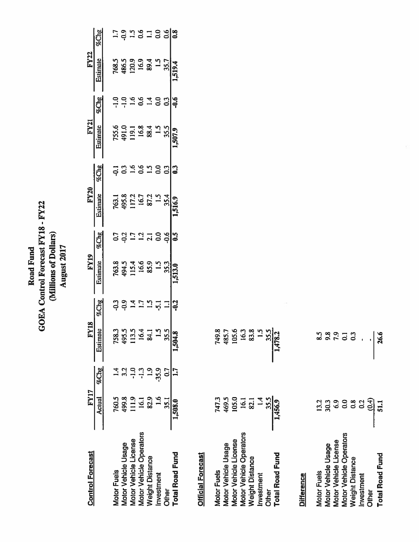## Road Fund<br>GOEA Control Forecast FY18 - FY22<br>(Millions of Dollars) August 2017

| <b>Control Forecast</b>                      | FY17           |          | <b>Y18</b><br>İ. |               | <b>FY19</b>                  |                  | FY20                                    |                         | FY21                                     |                 | <b>FY22</b>                         |                           |
|----------------------------------------------|----------------|----------|------------------|---------------|------------------------------|------------------|-----------------------------------------|-------------------------|------------------------------------------|-----------------|-------------------------------------|---------------------------|
|                                              | Actual %Chg    |          | <b>Estimat</b>   | %Chg          |                              | %Chg             | Estimate                                | %Chg                    |                                          | %Chg            |                                     | $\%$ Che                  |
| <b>Motor Fuels</b>                           |                |          | 758.             |               |                              |                  |                                         |                         |                                          |                 |                                     |                           |
|                                              | 760.5<br>499.8 |          | 495.             | ၀ ၁<br>၁၀     | 1633<br>1634<br>1645<br>1645 | 53<br>1.7<br>1.7 | 763.1<br>495.8<br>117.2<br>16.7<br>87.2 | 1394818<br>1994         | 755.6<br>491.0<br>119.1<br>16.8<br>188.4 |                 | 768.5<br>486.5<br>481 16.9<br>16.93 | 139181388                 |
| Motor Vehicle Usage<br>Motor Vehicle License | 111.9          |          | ក្នុ             | $\ddot{a}$    |                              |                  |                                         |                         |                                          |                 |                                     |                           |
| Motor Vehicle Operators                      | 16.1           |          | ≌                | 21            |                              | $\frac{13}{21}$  |                                         |                         |                                          | 0.6             |                                     |                           |
| <b>Neight Distance</b>                       | 82.9           | <u>ີ</u> | $\vec{x}$        | $\frac{5}{1}$ |                              |                  |                                         |                         |                                          | $\vec{a}$       |                                     |                           |
| nvestment                                    | 1.6            | $-35.9$  |                  | ភ្            | $\frac{15}{1}$               |                  | $\frac{1}{2}$                           |                         | $\frac{5}{10}$                           | $\overline{0}0$ |                                     |                           |
| <b>Other</b>                                 | 35.1           | 0.7      |                  |               | $\frac{35.3}{ }$             | $-0.6$           | 35.4                                    | $\overline{c}$          | 35.5                                     | 3               | $1.5$<br>35.7                       |                           |
| <b>Total Road Fund</b>                       | 1,508.0        |          | <b>L504.1</b>    |               | 513.0                        | $\frac{3}{2}$    |                                         | $\overline{\mathbf{0}}$ | 507.9                                    | $-0.6$          | 519.4                               | $\overline{\mathbf{0.8}}$ |
|                                              |                |          |                  |               |                              |                  |                                         |                         |                                          |                 |                                     |                           |

### **Official Forecast**

| Motor Fuels             |                        | 749.8                  |
|-------------------------|------------------------|------------------------|
| Motor Vehicle Usage     | 747.3<br>469.5         | 485.7                  |
| Motor Vehicle License   | 105.0                  | 105.6                  |
| Motor Vehicle Operators |                        | 16.3                   |
| Weight Distance         | $\frac{16.1}{82.1}$    | 83.8                   |
| Investment              |                        | $\frac{5}{15}$         |
| <b>Other</b>            |                        |                        |
| <b>Total Road Fund</b>  | $\frac{35.5}{1,456.9}$ | $\frac{35.5}{1,478.2}$ |

### **Difference**

| <b>Motor Fuels</b>             | 13.2              | င်္ဘ           |
|--------------------------------|-------------------|----------------|
| <b>Motor Vehicle Usage</b>     | 30.3              | 9.8            |
| <b>Motor Vehicle License</b>   | 6.9               | 7.9            |
| <b>Motor Vehicle Operators</b> | 0.0               | $\overline{c}$ |
| <b>Neight Distance</b>         | 0.8               | $\mathbf{C}$   |
| nvestment                      | 0.2               |                |
| <b>Difier</b>                  | $\frac{(0.4)}{1}$ |                |
| <b>Total Road Fund</b>         | 51.1              | 26.6           |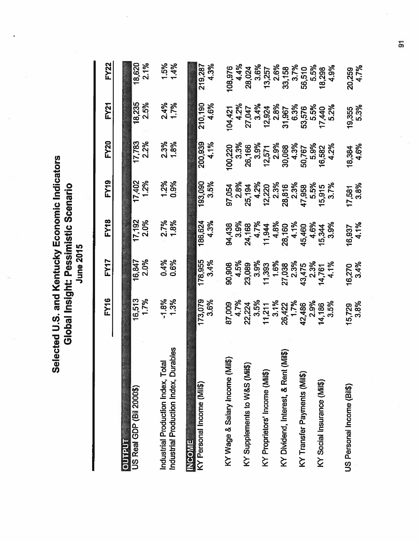Selected U.S. and Kentucky Economic Indicators<br>Global Insight: Pessimistic Scenario

|                                                                             | <b>FY16</b>               | FY17           | FY <sub>18</sub> | <b>FY19</b>      | <b>FY20</b>         | <b>FY21</b>         | <b>FY22</b>                                                       |
|-----------------------------------------------------------------------------|---------------------------|----------------|------------------|------------------|---------------------|---------------------|-------------------------------------------------------------------|
| <b>OUTPUT</b>                                                               |                           |                |                  |                  |                     |                     |                                                                   |
| US Real GDP (Bil 2000\$)                                                    | 1.7%<br>16,513            | 2.0%<br>16,847 | 17,192<br>2.0%   | 1.2%<br>17,402   | 2.2%<br>17,783      | 18,235<br>2.5%      | 2.1%<br>18,620                                                    |
| Industrial Production Index, Durables<br>Industrial Production Index, Total | $-1.3%$                   | 0.4%<br>0.6%   | 2.7%<br>1.8%     | 1.2%<br>0.9%     | 2.3%<br>1.8%        | 2.4%<br>1.7%        | 1.5%<br>1.4%                                                      |
| <b>INCOME</b>                                                               |                           |                |                  |                  |                     |                     |                                                                   |
| KY Personal Income (Mil\$)                                                  | 173,079<br>3.6%           | 178,955        | 186,624          | 193,090          | 200,939             | 210,190             | 219,287                                                           |
|                                                                             |                           | 3.4%           | 4.3%             | 3.5%             | 4.1%                | 4.6%                | 4.3%                                                              |
| KY Wage & Salary Income (Mil\$)                                             | 87,009                    | 90,908         |                  | 97,054           | 100,220             |                     | 108,976                                                           |
|                                                                             | 4.7%                      | 4.5%           | 94,438<br>3.9%   | 2.8%             | 3.3%                | 104,421<br>4.2%     | 4.4%                                                              |
| KY Supplements to W&S (Mil\$)                                               | 22,224                    | 23,089         |                  | 25,194           |                     |                     | 28,024                                                            |
|                                                                             |                           | 3.9%           | 24,168<br>4.7%   | 4.2%             | 26,166<br>3.9%      | 27,047<br>3.4%      | 3.6%                                                              |
| KY Proprietors' Income (Mil\$)                                              | $3.5\%$<br>11,211<br>3.1% | 11,393<br>1.6% | 11,944<br>4.8%   | 12,220           | $12,571$<br>$2.9\%$ |                     |                                                                   |
|                                                                             |                           |                |                  | 2.3%             |                     | $12,924$<br>$2.8\%$ |                                                                   |
| (Mil\$)<br>KY Dividend, Interest, & Rent                                    | 26,422                    | 27,038<br>2.3% | 28,160<br>4.1%   | 28,816           |                     |                     | $\begin{array}{c} 13,257 \\ 2.6\% \\ 23,158 \\ 3.7\% \end{array}$ |
|                                                                             | 1.7%                      |                |                  | 2.3%             | 30,068<br>4.3%      | 31,967<br>6.3%      |                                                                   |
| KY Transfer Payments (Mil\$)                                                | 42,486                    | 43,475<br>2.3% |                  | 47,958           |                     |                     |                                                                   |
|                                                                             | 2.9%                      |                | 45,460<br>4.6%   | 5.5%             | 50,767<br>5.9%      | 53,576<br>5.5%      | 56,510<br>5.5%                                                    |
| KY Social Insurance (Mil\$)                                                 | 14,186                    |                | 15,344           | 15,915           |                     |                     | 18,298                                                            |
|                                                                             | 3.5%                      | 14,761<br>4.1% | 3.9%             | 3.7%             | 16,582<br>4.2%      | 17,440<br>5.2%      | 4.9%                                                              |
| JS Personal Income (Bil\$)                                                  | 15,729                    |                |                  |                  |                     | 19,355              | 20,259                                                            |
|                                                                             | 3.8%                      | 16,270<br>3.4% | 16,937<br>4.1%   | $17,581$<br>3.8% | 18,384<br>4.6%      | 5.3%                | 4.7%                                                              |

5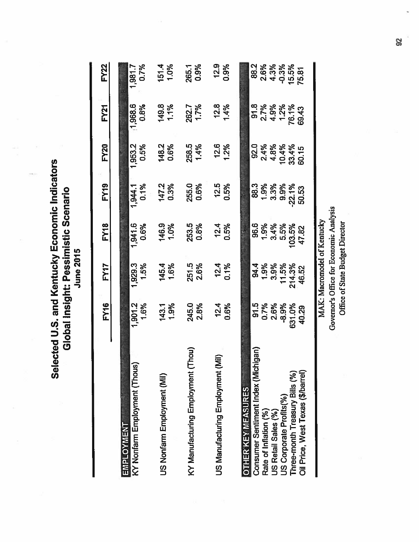Selected U.S. and Kentucky Economic Indicators Global Insight: Pessimistic Scenario

|                                                                                                                                                                                                                    | <b>FY16</b>                                        | FY17                                                                                   | <b>FY18</b>                                                                                | <b>FY19</b>                                       | <b>FY20</b>                                     | FY <sub>21</sub>                               | <b>FY22</b>                                       |
|--------------------------------------------------------------------------------------------------------------------------------------------------------------------------------------------------------------------|----------------------------------------------------|----------------------------------------------------------------------------------------|--------------------------------------------------------------------------------------------|---------------------------------------------------|-------------------------------------------------|------------------------------------------------|---------------------------------------------------|
| KY Nonfarm Employment (Thous)                                                                                                                                                                                      | 1,901.2                                            | 1,929.3                                                                                | 1,941.6                                                                                    | 0.1%                                              | 0.5%                                            | 1,968.6                                        | 0.7%                                              |
| <b>EMPLOYMENT</b>                                                                                                                                                                                                  | 1.6%                                               | 1.5%                                                                                   | 0.6%                                                                                       | 1,944.1                                           | 1,953.2                                         | 0.8%                                           | 1,981.7                                           |
| US Nonfarm Employment (Mil)                                                                                                                                                                                        | 1.9%                                               | 145.4                                                                                  | 146.9                                                                                      | 147.2                                             | 148.2                                           | 149.8                                          | 1.0%                                              |
|                                                                                                                                                                                                                    | 143.1                                              | 1.6%                                                                                   | 1.0%                                                                                       | 0.3%                                              | 0.6%                                            | 1.1%                                           | 151.4                                             |
| (Thou)                                                                                                                                                                                                             | 245.0                                              | 251.5                                                                                  | 0.8%                                                                                       | 255.0                                             | 258.5                                           | 1.7%                                           | 0.9%                                              |
| KY Manufacturing Employment (                                                                                                                                                                                      | 2.8%                                               | 2.6%                                                                                   | 253.5                                                                                      | 0.6%                                              | 1.4%                                            | 262.7                                          | 265.1                                             |
| 這)                                                                                                                                                                                                                 | 12.4                                               | 12.4                                                                                   | 12.4                                                                                       | 12.5                                              | 12.6                                            | 12.8                                           | 12.9                                              |
| US Manufacturing Employment                                                                                                                                                                                        | 0.6%                                               | 0.1%                                                                                   | 0.5%                                                                                       | 0.5%                                              | 1.2%                                            | 1.4%                                           | 0.9%                                              |
| Consumer Sentiment Index (Michigan)<br>Oil Price, West Texas (\$/barrel)<br>Three-month Treasury Bills (%)<br><b>OTHER KEY MEASURES</b><br>US Corporate Profits(%)<br>Rate of Inflation (%)<br>US Retail Sales (%) | 0.7%<br>5.FG<br>2.6%<br>$-8.9%$<br>631.0%<br>40.29 | MAK: Macromodel of Kentucky<br>1.9%<br>3.9%<br>11.5%<br>214.3%<br><b>94.4</b><br>46.52 | Governor's Office for Economic Analysis<br>96.6<br>1.9%<br>3.4%<br>5.5%<br>103.5%<br>47.82 | 88.3<br>1.9%<br>3.3%<br>9.9%<br>$-22.1%$<br>50.53 | 2.4%<br>4.8%<br>10.4%<br>33.4%<br>92.0<br>60.15 | 91.8<br>2.7%<br>4.9%<br>1.2%<br>76.1%<br>69.43 | 2.6%<br>4.3%<br>88.2<br>$-0.3%$<br>15.5%<br>75.81 |

92

Office of State Budget Director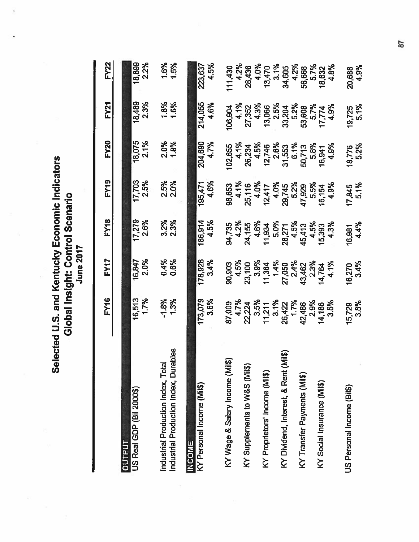**Selected U.S. and Kentucky Economic Indicators<br>Global Insight: Control Scenario** 

|                                          | <b>FY16</b>                         | FY17                                                                       | <b>FY18</b>              | <b>FY19</b>                            | <b>FY20</b>                               | <b>FY21</b>                      | <b>FY22</b>                                                           |
|------------------------------------------|-------------------------------------|----------------------------------------------------------------------------|--------------------------|----------------------------------------|-------------------------------------------|----------------------------------|-----------------------------------------------------------------------|
| <b>OUTPUT</b>                            |                                     |                                                                            |                          |                                        |                                           |                                  |                                                                       |
| US Real GDP (Bil 2000\$)                 | 16,513                              | 16,847                                                                     | $\sqrt{17,279}$          | 17,703                                 | 18,075                                    | 18,489                           | 18,899                                                                |
|                                          | 1.7%                                | 2.0%                                                                       | 2.6%                     | 2.5%                                   | 2.1%                                      | 2.3%                             | 2.2%                                                                  |
| Industrial Production Index, Total       | $-1.3%$                             | 0.4%                                                                       | $3.2%$<br>$2.3%$         | 2.5%                                   | 2.0%<br>1.8%                              | 1.8%<br>1.6%                     | 1.6%                                                                  |
| Industrial Production Index, Durables    |                                     | 0.6%                                                                       |                          | 2.0%                                   |                                           |                                  | 1.5%                                                                  |
| <b>INCOME</b>                            |                                     |                                                                            |                          |                                        |                                           |                                  |                                                                       |
| KY Personal Income (Mil\$)               | 173,079                             | 178,928                                                                    | 186,914                  | 195,471                                | 204,690<br>4.7%                           | 214,055                          | 223,637                                                               |
|                                          | 3.6%                                | 3.4%                                                                       | 4.5%                     | 4.6%                                   |                                           | 4.6%                             | 4.5%                                                                  |
| iii6)<br>KY Wage & Salary Income (M      | 87,009<br>4.7%<br>22,224            | 90,903                                                                     |                          | 98,653                                 | 102,655                                   | 106,904                          | 11,430                                                                |
|                                          |                                     |                                                                            |                          |                                        |                                           |                                  |                                                                       |
| KY Supplements to W&S (Mil\$)            |                                     | 4.5%<br>23,100                                                             | 94,735<br>4.2%<br>24,155 | 4.1%<br>25,116<br>4.0%<br>4.0%<br>4.0% | 4.1%<br>26,234<br>26,2%<br>12,746<br>2.6% | 4.1%<br>27,352<br>4.3%           | 4.2%<br>28,436                                                        |
|                                          |                                     |                                                                            | 4.6%                     |                                        |                                           |                                  | 4.0%                                                                  |
| KY Proprietors' Income (Mil\$)           | $3.5\%$<br>11,211<br>3.1%<br>26,422 | $\begin{array}{r} 3.9\% \\ 11,364 \\ 1.4\% \\ 27,050 \\ 2.4\% \end{array}$ | 11,934<br>5.0%           |                                        |                                           | 13,066<br>2.5%                   |                                                                       |
|                                          |                                     |                                                                            |                          |                                        |                                           |                                  |                                                                       |
| (Mil\$)<br>KY Dividend, Interest, & Rent |                                     |                                                                            | 28,271<br>4.5%           | 29,745<br>5.2%                         | $31,553\n6.1%\n50,713\n5.8%$              | 33,204<br>5.2%                   | $\begin{array}{c}\n 13,470 \\ 3.1\% \\ 34,605 \\ 4.2\% \n\end{array}$ |
|                                          | 1.7%                                |                                                                            |                          |                                        |                                           |                                  |                                                                       |
| KY Transfer Payments (Mil\$)             | 42,486                              | 43,462<br>2.3%                                                             | 45,413<br>4.5%           | 47,929                                 |                                           |                                  | 56,668<br>5.7%<br>18,632                                              |
|                                          | 2.9%                                |                                                                            |                          | 5.5%                                   |                                           |                                  |                                                                       |
| KY Social Insurance (Mil\$)              |                                     | 14,764<br>4.1%                                                             | 15,393                   | 16,154                                 | 16,941                                    |                                  |                                                                       |
|                                          | 14,186<br>3.5%                      |                                                                            | 4.3%                     | 4.9%                                   | 4.9%                                      | 53,608<br>5.7%<br>17,774<br>4.9% | 4.8%                                                                  |
| US Personal Income (Bil\$)               |                                     |                                                                            |                          |                                        |                                           |                                  | 20,688                                                                |
|                                          | 15,729<br>3.8%                      | 16,270<br>3.4%                                                             | 16,981<br>4.4%           | $17,845$<br>5.1%                       | 18,776<br>5.2%                            | $19,725$<br>5.1%                 | 4.9%                                                                  |

57